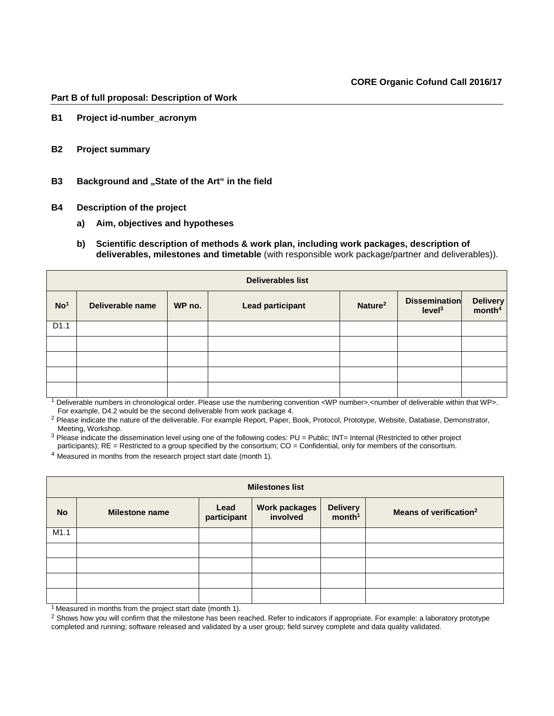## **Part B of full proposal: Description of Work**

- **B1 Project id-number\_acronym**
- **B2 Project summary**
- **B3** Background and "State of the Art" in the field
- **B4 Description of the project**
	- **a) Aim, objectives and hypotheses**
	- **b) Scientific description of methods & work plan, including work packages, description of deliverables, milestones and timetable** (with responsible work package/partner and deliverables)).

| <b>Deliverables list</b> |                  |        |                         |                     |                                            |                                |  |  |  |  |
|--------------------------|------------------|--------|-------------------------|---------------------|--------------------------------------------|--------------------------------|--|--|--|--|
| No <sup>1</sup>          | Deliverable name | WP no. | <b>Lead participant</b> | Nature <sup>2</sup> | <b>Dissemination</b><br>level <sup>3</sup> | Delivery<br>month <sup>4</sup> |  |  |  |  |
| D1.1                     |                  |        |                         |                     |                                            |                                |  |  |  |  |
|                          |                  |        |                         |                     |                                            |                                |  |  |  |  |
|                          |                  |        |                         |                     |                                            |                                |  |  |  |  |
|                          |                  |        |                         |                     |                                            |                                |  |  |  |  |
|                          |                  |        |                         |                     |                                            |                                |  |  |  |  |

<sup>1</sup> Deliverable numbers in chronological order. Please use the numbering convention <WP number>.<number of deliverable within that WP>. For example, D4.2 would be the second deliverable from work package 4.

<sup>2</sup> Please indicate the nature of the deliverable. For example Report, Paper, Book, Protocol, Prototype, Website, Database, Demonstrator, Meeting, Workshop.

<sup>3</sup> Please indicate the dissemination level using one of the following codes: PU = Public; INT= Internal (Restricted to other project participants); RE = Restricted to a group specified by the consortium; CO = Confidential, only for members of the consortium.

<sup>4</sup> Measured in months from the research project start date (month 1).

| <b>Milestones list</b> |                       |                     |                           |                                |                                    |  |  |  |  |
|------------------------|-----------------------|---------------------|---------------------------|--------------------------------|------------------------------------|--|--|--|--|
| <b>No</b>              | <b>Milestone name</b> | Lead<br>participant | Work packages<br>involved | Delivery<br>month <sup>1</sup> | Means of verification <sup>2</sup> |  |  |  |  |
| M1.1                   |                       |                     |                           |                                |                                    |  |  |  |  |
|                        |                       |                     |                           |                                |                                    |  |  |  |  |
|                        |                       |                     |                           |                                |                                    |  |  |  |  |
|                        |                       |                     |                           |                                |                                    |  |  |  |  |
|                        |                       |                     |                           |                                |                                    |  |  |  |  |

 $1$  Measured in months from the project start date (month 1).

<sup>2</sup> Shows how you will confirm that the milestone has been reached. Refer to indicators if appropriate. For example: a laboratory prototype completed and running; software released and validated by a user group; field survey complete and data quality validated.